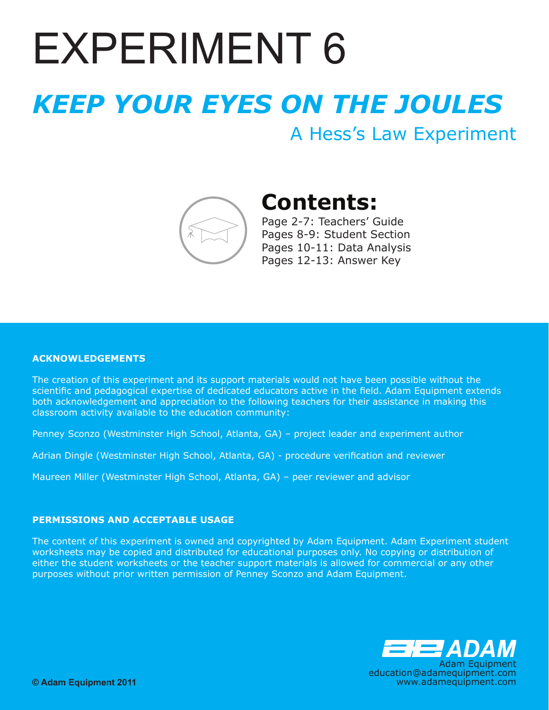# EXPERIMENT 6

## *KEEP YOUR EYES ON THE JOULES*

A Hess's Law Experiment



## **Contents:**

Page 2-7: Teachers' Guide Pages 8-9: Student Section Pages 10-11: Data Analysis Pages 12-13: Answer Key

#### **ACKNOwLEDGEMENTS**

The creation of this experiment and its support materials would not have been possible without the scientific and pedagogical expertise of dedicated educators active in the field. Adam Equipment extends both acknowledgement and appreciation to the following teachers for their assistance in making this classroom activity available to the education community:

Penney Sconzo (Westminster High School, Atlanta, GA) – project leader and experiment author

Adrian Dingle (Westminster High School, Atlanta, GA) - procedure verification and reviewer

Maureen Miller (Westminster High School, Atlanta, GA) – peer reviewer and advisor

#### **PERMISSIONS AND ACCEPTABLE USAGE**

The content of this experiment is owned and copyrighted by Adam Equipment. Adam Experiment student worksheets may be copied and distributed for educational purposes only. No copying or distribution of either the student worksheets or the teacher support materials is allowed for commercial or any other purposes without prior written permission of Penney Sconzo and Adam Equipment.

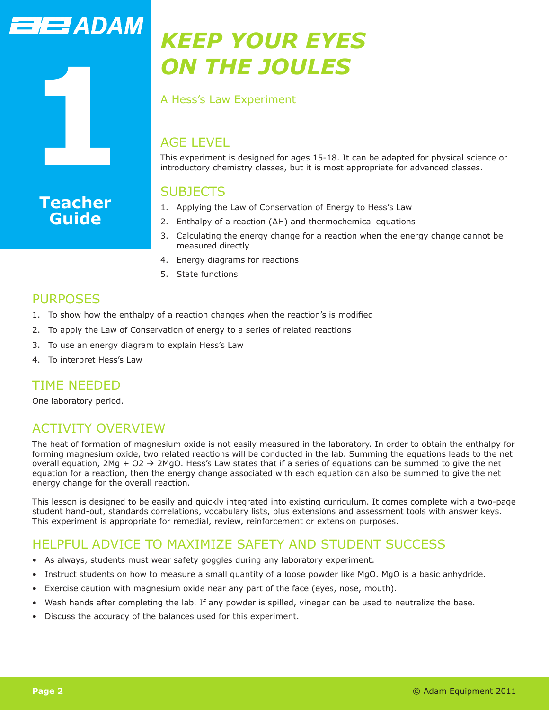## **TEZADAM**

**1**

**Teacher Guide**

## *KEEP YOUR EYES ON THE JOULES*

A Hess's Law Experiment

## AGE LEVEL

This experiment is designed for ages 15-18. It can be adapted for physical science or introductory chemistry classes, but it is most appropriate for advanced classes.

## **SUBJECTS**

- 1. Applying the Law of Conservation of Energy to Hess's Law
- 2. Enthalpy of a reaction (∆H) and thermochemical equations
- 3. Calculating the energy change for a reaction when the energy change cannot be measured directly
- 4. Energy diagrams for reactions
- 5. State functions

## PURPOSES

- 1. To show how the enthalpy of a reaction changes when the reaction's is modified
- 2. To apply the Law of Conservation of energy to a series of related reactions
- 3. To use an energy diagram to explain Hess's Law
- 4. To interpret Hess's Law

## TIME NEEDED

One laboratory period.

## ACTIVITY OVERVIEW

The heat of formation of magnesium oxide is not easily measured in the laboratory. In order to obtain the enthalpy for forming magnesium oxide, two related reactions will be conducted in the lab. Summing the equations leads to the net overall equation, 2Mg + O2  $\rightarrow$  2MgO. Hess's Law states that if a series of equations can be summed to give the net equation for a reaction, then the energy change associated with each equation can also be summed to give the net energy change for the overall reaction.

This lesson is designed to be easily and quickly integrated into existing curriculum. It comes complete with a two-page student hand-out, standards correlations, vocabulary lists, plus extensions and assessment tools with answer keys. This experiment is appropriate for remedial, review, reinforcement or extension purposes.

## HELPFUL ADVICE TO MAXIMIZE SAFETY AND STUDENT SUCCESS

- As always, students must wear safety goggles during any laboratory experiment.
- Instruct students on how to measure a small quantity of a loose powder like MgO. MgO is a basic anhydride.
- Exercise caution with magnesium oxide near any part of the face (eyes, nose, mouth).
- Wash hands after completing the lab. If any powder is spilled, vinegar can be used to neutralize the base.
- Discuss the accuracy of the balances used for this experiment.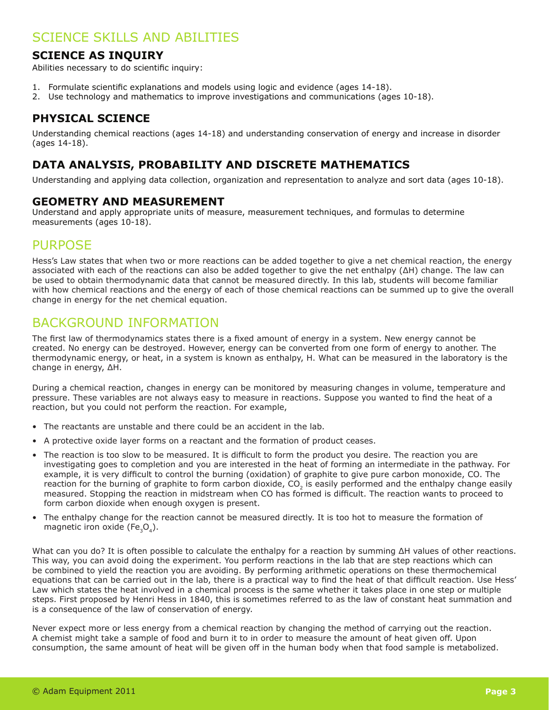## SCIENCE SKILLS AND ABILITIES

#### **SCIENCE AS INQUIRY**

Abilities necessary to do scientific inquiry:

- 1. Formulate scientific explanations and models using logic and evidence (ages 14-18).
- 2. Use technology and mathematics to improve investigations and communications (ages 10-18).

### **PHYSICAL SCIENCE**

Understanding chemical reactions (ages 14-18) and understanding conservation of energy and increase in disorder (ages 14-18).

### **DATA ANALYSIS, PROBABILITY AND DISCRETE MATHEMATICS**

Understanding and applying data collection, organization and representation to analyze and sort data (ages 10-18).

#### **GEOMETRY AND MEASUREMENT**

Understand and apply appropriate units of measure, measurement techniques, and formulas to determine measurements (ages 10-18).

## PURPOSE

Hess's Law states that when two or more reactions can be added together to give a net chemical reaction, the energy associated with each of the reactions can also be added together to give the net enthalpy (ΔH) change. The law can be used to obtain thermodynamic data that cannot be measured directly. In this lab, students will become familiar with how chemical reactions and the energy of each of those chemical reactions can be summed up to give the overall change in energy for the net chemical equation.

## BACKGROUND INFORMATION

The first law of thermodynamics states there is a fixed amount of energy in a system. New energy cannot be created. No energy can be destroyed. However, energy can be converted from one form of energy to another. The thermodynamic energy, or heat, in a system is known as enthalpy, H. What can be measured in the laboratory is the change in energy, ΔH.

During a chemical reaction, changes in energy can be monitored by measuring changes in volume, temperature and pressure. These variables are not always easy to measure in reactions. Suppose you wanted to find the heat of a reaction, but you could not perform the reaction. For example,

- The reactants are unstable and there could be an accident in the lab.
- A protective oxide layer forms on a reactant and the formation of product ceases.
- The reaction is too slow to be measured. It is difficult to form the product you desire. The reaction you are investigating goes to completion and you are interested in the heat of forming an intermediate in the pathway. For example, it is very difficult to control the burning (oxidation) of graphite to give pure carbon monoxide, CO. The reaction for the burning of graphite to form carbon dioxide, CO<sub>2</sub> is easily performed and the enthalpy change easily measured. Stopping the reaction in midstream when CO has formed is difficult. The reaction wants to proceed to form carbon dioxide when enough oxygen is present.
- The enthalpy change for the reaction cannot be measured directly. It is too hot to measure the formation of magnetic iron oxide (Fe<sub>2</sub>O<sub>4</sub>).

What can you do? It is often possible to calculate the enthalpy for a reaction by summing ΔH values of other reactions. This way, you can avoid doing the experiment. You perform reactions in the lab that are step reactions which can be combined to yield the reaction you are avoiding. By performing arithmetic operations on these thermochemical equations that can be carried out in the lab, there is a practical way to find the heat of that difficult reaction. Use Hess' Law which states the heat involved in a chemical process is the same whether it takes place in one step or multiple steps. First proposed by Henri Hess in 1840, this is sometimes referred to as the law of constant heat summation and is a consequence of the law of conservation of energy.

Never expect more or less energy from a chemical reaction by changing the method of carrying out the reaction. A chemist might take a sample of food and burn it to in order to measure the amount of heat given off. Upon consumption, the same amount of heat will be given off in the human body when that food sample is metabolized.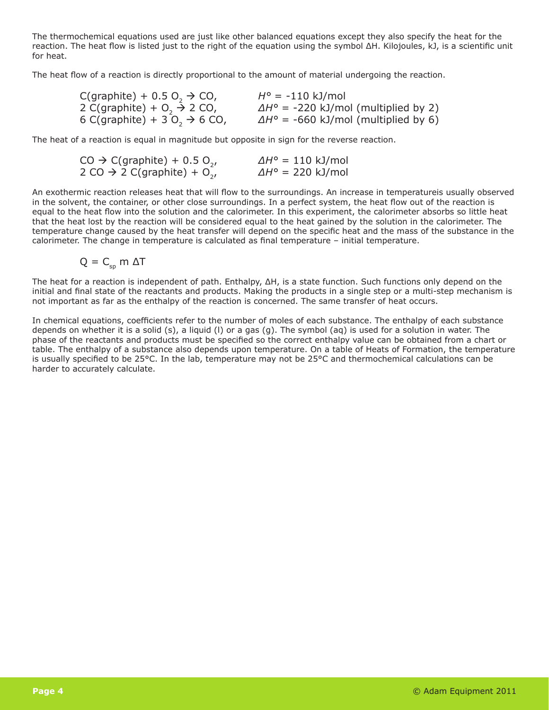The thermochemical equations used are just like other balanced equations except they also specify the heat for the reaction. The heat flow is listed just to the right of the equation using the symbol ΔH. Kilojoules, kJ, is a scientific unit for heat.

The heat flow of a reaction is directly proportional to the amount of material undergoing the reaction.

| $C($ graphite $) + 0.5 O, \rightarrow CO,$                       | $H^{\circ} = -110$ kJ/mol                          |
|------------------------------------------------------------------|----------------------------------------------------|
| 2 C(graphite) + $O_2 \rightarrow 2$ CO,                          | $\Delta H^{\circ}$ = -220 kJ/mol (multiplied by 2) |
| 6 C(graphite) + 3 O <sub>2</sub> $\rightarrow$ 6 CO <sub>1</sub> | $\Delta H^{\circ}$ = -660 kJ/mol (multiplied by 6) |

The heat of a reaction is equal in magnitude but opposite in sign for the reverse reaction.

| $CO \rightarrow C(graphite) + 0.5 O_{21}$           | $\Delta H^{\circ}$ = 110 kJ/mol |
|-----------------------------------------------------|---------------------------------|
| 2 CO $\rightarrow$ 2 C(graphite) + O <sub>2</sub> , | $\Delta H^{\circ}$ = 220 kJ/mol |

An exothermic reaction releases heat that will flow to the surroundings. An increase in temperatureis usually observed in the solvent, the container, or other close surroundings. In a perfect system, the heat flow out of the reaction is equal to the heat flow into the solution and the calorimeter. In this experiment, the calorimeter absorbs so little heat that the heat lost by the reaction will be considered equal to the heat gained by the solution in the calorimeter. The temperature change caused by the heat transfer will depend on the specific heat and the mass of the substance in the calorimeter. The change in temperature is calculated as final temperature – initial temperature.

$$
Q = C_{sp} \, m \, \Delta T
$$

The heat for a reaction is independent of path. Enthalpy, ΔH, is a state function. Such functions only depend on the initial and final state of the reactants and products. Making the products in a single step or a multi-step mechanism is not important as far as the enthalpy of the reaction is concerned. The same transfer of heat occurs.

In chemical equations, coefficients refer to the number of moles of each substance. The enthalpy of each substance depends on whether it is a solid (s), a liquid (l) or a gas (g). The symbol (aq) is used for a solution in water. The phase of the reactants and products must be specified so the correct enthalpy value can be obtained from a chart or table. The enthalpy of a substance also depends upon temperature. On a table of Heats of Formation, the temperature is usually specified to be 25°C. In the lab, temperature may not be 25°C and thermochemical calculations can be harder to accurately calculate.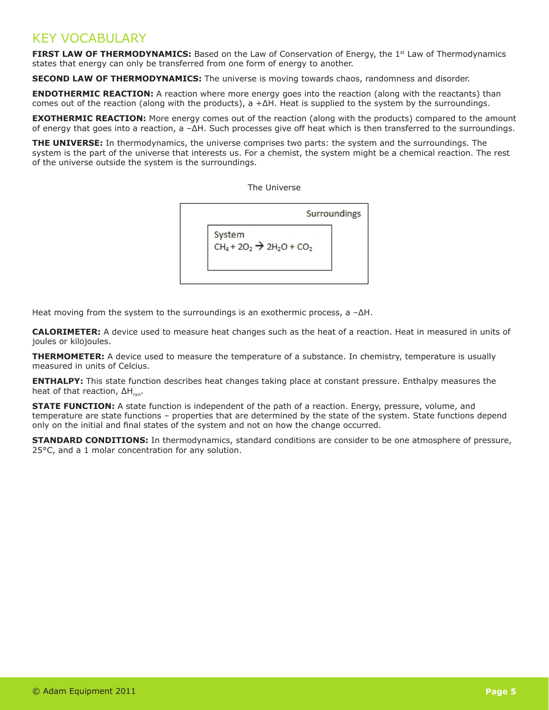## KEY VOCABULARY

**FIRST LAW OF THERMODYNAMICS:** Based on the Law of Conservation of Energy, the 1<sup>st</sup> Law of Thermodynamics states that energy can only be transferred from one form of energy to another.

**Second Law of Thermodynamics:** The universe is moving towards chaos, randomness and disorder.

**ENDOTHERMIC REACTION:** A reaction where more energy goes into the reaction (along with the reactants) than comes out of the reaction (along with the products), a  $+ \Delta H$ . Heat is supplied to the system by the surroundings.

**EXOTHERMIC REACTION:** More energy comes out of the reaction (along with the products) compared to the amount of energy that goes into a reaction, a –ΔH. Such processes give off heat which is then transferred to the surroundings.

**THE UNIVERSE:** In thermodynamics, the universe comprises two parts: the system and the surroundings. The system is the part of the universe that interests us. For a chemist, the system might be a chemical reaction. The rest of the universe outside the system is the surroundings.

The Universe



Heat moving from the system to the surroundings is an exothermic process,  $a - \Delta H$ .

**Calorimeter:** A device used to measure heat changes such as the heat of a reaction. Heat in measured in units of joules or kilojoules.

**THERMOMETER:** A device used to measure the temperature of a substance. In chemistry, temperature is usually measured in units of Celcius.

**ENTHALPY:** This state function describes heat changes taking place at constant pressure. Enthalpy measures the heat of that reaction,  $\Delta H_{\text{max}}$ .

**STATE FUNCTION:** A state function is independent of the path of a reaction. Energy, pressure, volume, and temperature are state functions – properties that are determined by the state of the system. State functions depend only on the initial and final states of the system and not on how the change occurred.

**STANDARD CONDITIONS:** In thermodynamics, standard conditions are consider to be one atmosphere of pressure, 25°C, and a 1 molar concentration for any solution.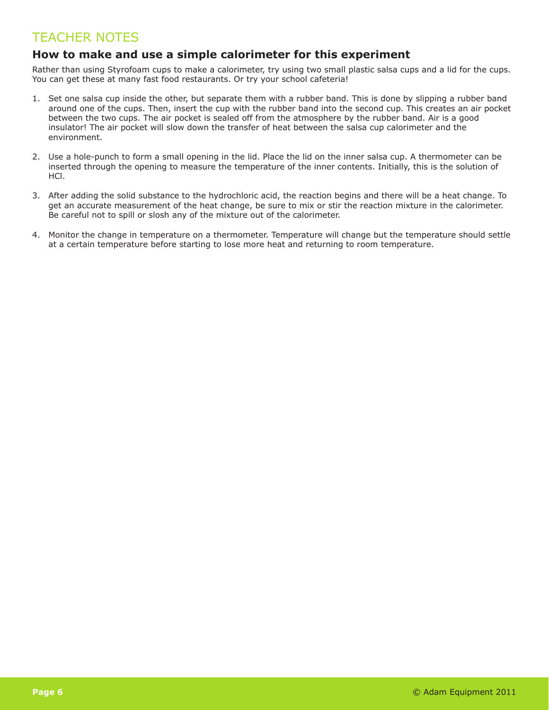## TEACHER NOTES

#### **How to make and use a simple calorimeter for this experiment**

Rather than using Styrofoam cups to make a calorimeter, try using two small plastic salsa cups and a lid for the cups. You can get these at many fast food restaurants. Or try your school cafeteria!

- 1. Set one salsa cup inside the other, but separate them with a rubber band. This is done by slipping a rubber band around one of the cups. Then, insert the cup with the rubber band into the second cup. This creates an air pocket between the two cups. The air pocket is sealed off from the atmosphere by the rubber band. Air is a good insulator! The air pocket will slow down the transfer of heat between the salsa cup calorimeter and the environment.
- 2. Use a hole-punch to form a small opening in the lid. Place the lid on the inner salsa cup. A thermometer can be inserted through the opening to measure the temperature of the inner contents. Initially, this is the solution of HCl.
- 3. After adding the solid substance to the hydrochloric acid, the reaction begins and there will be a heat change. To get an accurate measurement of the heat change, be sure to mix or stir the reaction mixture in the calorimeter. Be careful not to spill or slosh any of the mixture out of the calorimeter.
- 4. Monitor the change in temperature on a thermometer. Temperature will change but the temperature should settle at a certain temperature before starting to lose more heat and returning to room temperature.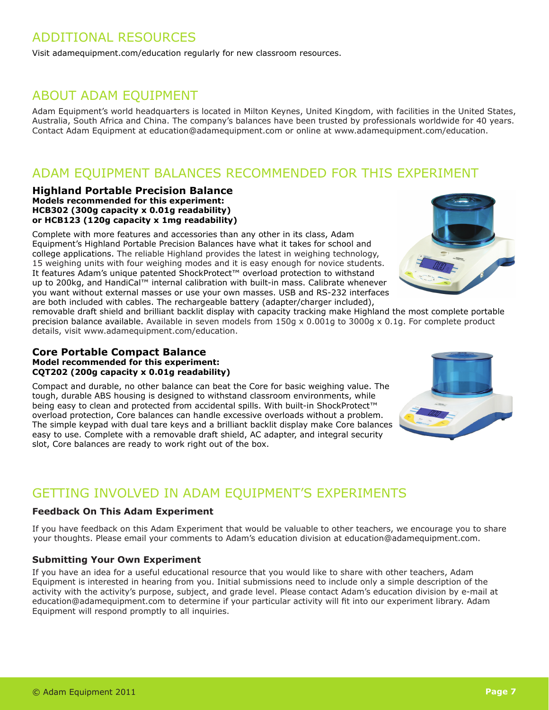## ADDITIONAL RESOURCES

Visit adamequipment.com/education regularly for new classroom resources.

## ABOUT ADAM EQUIPMENT

Adam Equipment's world headquarters is located in Milton Keynes, United Kingdom, with facilities in the United States, Australia, South Africa and China. The company's balances have been trusted by professionals worldwide for 40 years. Contact Adam Equipment at education@adamequipment.com or online at www.adamequipment.com/education.

## ADAM EQUIPMENT BALANCES RECOMMENDED FOR THIS EXPERIMENT

#### **Highland Portable Precision Balance Models recommended for this experiment: HCB302 (300g capacity x 0.01g readability) or HCB123 (120g capacity x 1mg readability)**

Complete with more features and accessories than any other in its class, Adam Equipment's Highland Portable Precision Balances have what it takes for school and college applications. The reliable Highland provides the latest in weighing technology, 15 weighing units with four weighing modes and it is easy enough for novice students. It features Adam's unique patented ShockProtect™ overload protection to withstand up to 200kg, and HandiCal™ internal calibration with built-in mass. Calibrate whenever you want without external masses or use your own masses. USB and RS-232 interfaces are both included with cables. The rechargeable battery (adapter/charger included),

removable draft shield and brilliant backlit display with capacity tracking make Highland the most complete portable precision balance available. Available in seven models from 150g x 0.001g to 3000g x 0.1g. For complete product details, visit www.adamequipment.com/education.

#### **Core Portable Compact Balance Model recommended for this experiment: CQT202 (200g capacity x 0.01g readability)**

Compact and durable, no other balance can beat the Core for basic weighing value. The tough, durable ABS housing is designed to withstand classroom environments, while being easy to clean and protected from accidental spills. With built-in ShockProtect™ overload protection, Core balances can handle excessive overloads without a problem. The simple keypad with dual tare keys and a brilliant backlit display make Core balances easy to use. Complete with a removable draft shield, AC adapter, and integral security slot, Core balances are ready to work right out of the box.

## GETTING INVOLVED IN ADAM EQUIPMENT'S EXPERIMENTS

#### **Feedback On This Adam Experiment**

If you have feedback on this Adam Experiment that would be valuable to other teachers, we encourage you to share your thoughts. Please email your comments to Adam's education division at education@adamequipment.com.

#### **Submitting Your Own Experiment**

If you have an idea for a useful educational resource that you would like to share with other teachers, Adam Equipment is interested in hearing from you. Initial submissions need to include only a simple description of the activity with the activity's purpose, subject, and grade level. Please contact Adam's education division by e-mail at education@adamequipment.com to determine if your particular activity will fit into our experiment library. Adam Equipment will respond promptly to all inquiries.

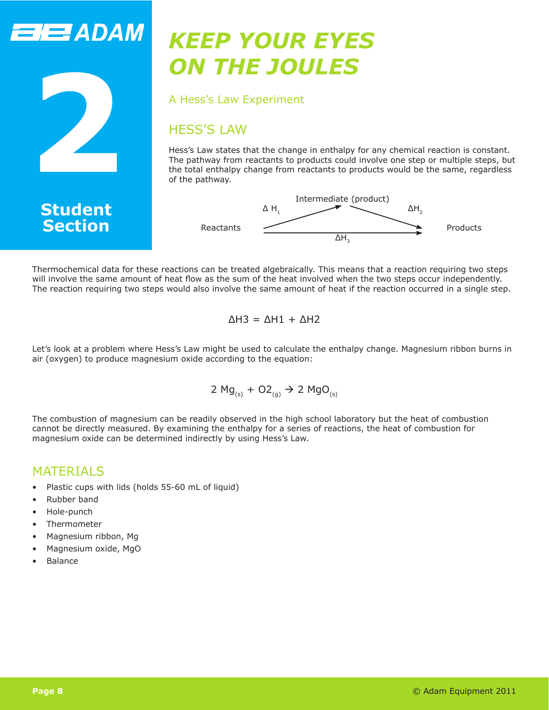## **THE ADAM**



## *KEEP YOUR EYES ON THE JOULES*

A Hess's Law Experiment

## HESS'S LAW

Hess's Law states that the change in enthalpy for any chemical reaction is constant. The pathway from reactants to products could involve one step or multiple steps, but the total enthalpy change from reactants to products would be the same, regardless of the pathway.





Thermochemical data for these reactions can be treated algebraically. This means that a reaction requiring two steps will involve the same amount of heat flow as the sum of the heat involved when the two steps occur independently. The reaction requiring two steps would also involve the same amount of heat if the reaction occurred in a single step.

$$
\Delta H3 = \Delta H1 + \Delta H2
$$

Let's look at a problem where Hess's Law might be used to calculate the enthalpy change. Magnesium ribbon burns in air (oxygen) to produce magnesium oxide according to the equation:

2 Mg<sub>(s)</sub> + O2<sub>(g)</sub> 
$$
\rightarrow
$$
 2 MgO<sub>(s)</sub>

The combustion of magnesium can be readily observed in the high school laboratory but the heat of combustion cannot be directly measured. By examining the enthalpy for a series of reactions, the heat of combustion for magnesium oxide can be determined indirectly by using Hess's Law.

### **MATFRIALS**

- Plastic cups with lids (holds 55-60 mL of liquid)
- Rubber band
- Hole-punch
- Thermometer
- Magnesium ribbon, Mg
- Magnesium oxide, MgO
- **Balance**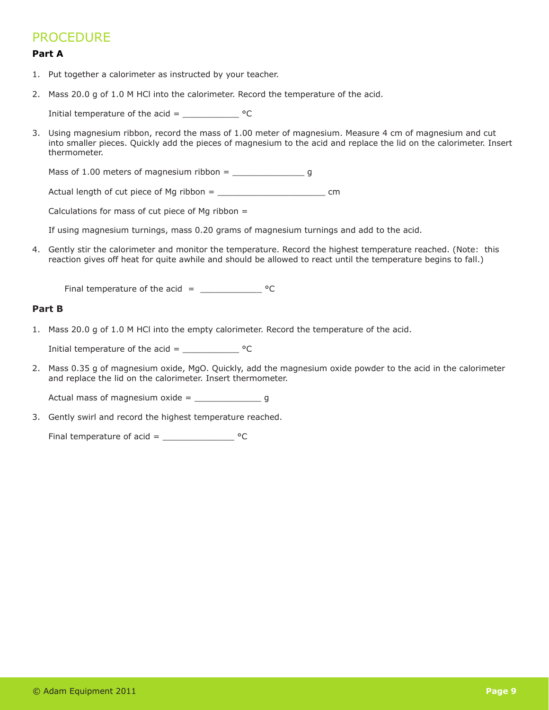## **PROCEDURE**

#### **Part A**

- 1. Put together a calorimeter as instructed by your teacher.
- 2. Mass 20.0 g of 1.0 M HCl into the calorimeter. Record the temperature of the acid.

Initial temperature of the acid =  $^{\circ}$ C

3. Using magnesium ribbon, record the mass of 1.00 meter of magnesium. Measure 4 cm of magnesium and cut into smaller pieces. Quickly add the pieces of magnesium to the acid and replace the lid on the calorimeter. Insert thermometer.

Mass of 1.00 meters of magnesium ribbon = \_\_\_\_\_\_\_\_\_\_\_\_\_\_ g

Actual length of cut piece of Mg ribbon =  $\frac{1}{2}$ 

Calculations for mass of cut piece of Mg ribbon  $=$ 

If using magnesium turnings, mass 0.20 grams of magnesium turnings and add to the acid.

4. Gently stir the calorimeter and monitor the temperature. Record the highest temperature reached. (Note: this reaction gives off heat for quite awhile and should be allowed to react until the temperature begins to fall.)

Final temperature of the acid =  $\frac{$ 

#### **Part B**

1. Mass 20.0 g of 1.0 M HCl into the empty calorimeter. Record the temperature of the acid.

Initial temperature of the acid =  $\frac{1}{2}$  °C

2. Mass 0.35 g of magnesium oxide, MgO. Quickly, add the magnesium oxide powder to the acid in the calorimeter and replace the lid on the calorimeter. Insert thermometer.

Actual mass of magnesium oxide =  $\frac{1}{2}$ 

3. Gently swirl and record the highest temperature reached.

Final temperature of  $acid =$  \_\_\_\_\_\_\_\_\_\_\_\_\_\_\_\_\_\_\_\_\_\_ °C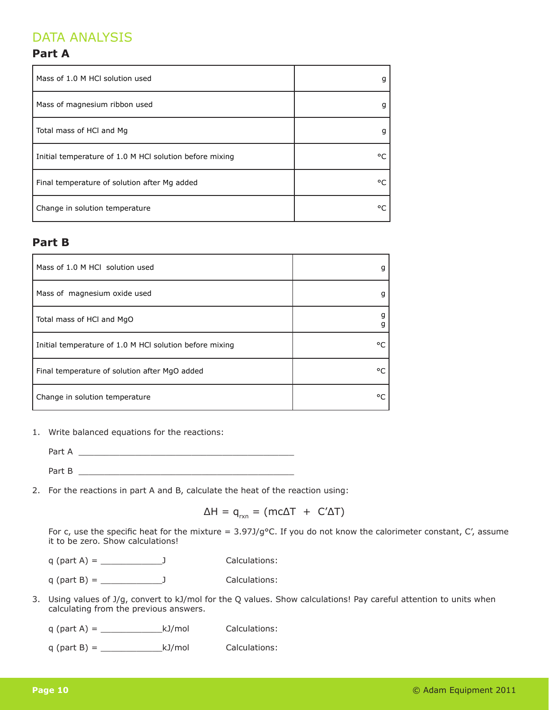## DATA ANALYSIS

#### **Part A**

| Mass of 1.0 M HCl solution used                         | g       |
|---------------------------------------------------------|---------|
| Mass of magnesium ribbon used                           |         |
| Total mass of HCI and Mg                                | g       |
| Initial temperature of 1.0 M HCl solution before mixing | ۰       |
| Final temperature of solution after Mg added            | ۰       |
| Change in solution temperature                          | $\circ$ |

#### **Part B**

| Mass of 1.0 M HCl solution used                         |    |
|---------------------------------------------------------|----|
| Mass of magnesium oxide used                            |    |
| Total mass of HCI and MgO                               |    |
| Initial temperature of 1.0 M HCl solution before mixing | ٥r |
| Final temperature of solution after MgO added           | ۰c |
| Change in solution temperature                          | ٥r |

1. Write balanced equations for the reactions:

Part A

Part B

2. For the reactions in part A and B, calculate the heat of the reaction using:

 $\Delta H = q_{rxn} = (mc\Delta T + C'\Delta T)$ 

For c, use the specific heat for the mixture =  $3.97J/g$ °C. If you do not know the calorimeter constant, C', assume it to be zero. Show calculations!

 $q$  (part A) =  $\frac{1}{\sqrt{q}}$  J Calculations:

 $q$  (part B) =  $\frac{1}{q}$  J Calculations:

3. Using values of J/g, convert to kJ/mol for the Q values. Show calculations! Pay careful attention to units when calculating from the previous answers.

| q (part A) $=$ | kJ/mol | Calculations: |
|----------------|--------|---------------|
|----------------|--------|---------------|

 $q$  (part B) =  $\underline{\hspace{1cm}}$  kJ/mol Calculations: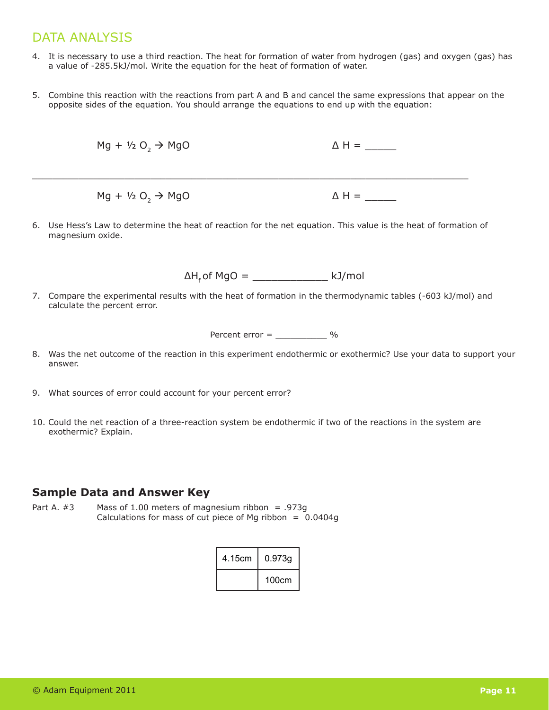## DATA ANALYSIS

- 4. It is necessary to use a third reaction. The heat for formation of water from hydrogen (gas) and oxygen (gas) has a value of -285.5kJ/mol. Write the equation for the heat of formation of water.
- 5. Combine this reaction with the reactions from part A and B and cancel the same expressions that appear on the opposite sides of the equation. You should arrange the equations to end up with the equation:

$$
Mg + \frac{1}{2} O_2 \rightarrow MgO
$$
  
\n
$$
\Delta H =
$$
  
\n
$$
Mg + \frac{1}{2} O_2 \rightarrow MgO
$$
  
\n
$$
\Delta H =
$$

6. Use Hess's Law to determine the heat of reaction for the net equation. This value is the heat of formation of magnesium oxide.

 $\Delta H_f$  of MgO = \_\_\_\_\_\_\_\_\_\_\_\_\_\_\_\_ kJ/mol

7. Compare the experimental results with the heat of formation in the thermodynamic tables (-603 kJ/mol) and calculate the percent error.

| Percent error $=$ |  |  |
|-------------------|--|--|
|                   |  |  |

- 8. Was the net outcome of the reaction in this experiment endothermic or exothermic? Use your data to support your answer.
- 9. What sources of error could account for your percent error?
- 10. Could the net reaction of a three-reaction system be endothermic if two of the reactions in the system are exothermic? Explain.

#### **Sample Data and Answer Key**

Part A.  $#3$  Mass of 1.00 meters of magnesium ribbon = .973g Calculations for mass of cut piece of Mg ribbon =  $0.0404g$ 

| 4.15cm | 0.973g |  |
|--------|--------|--|
|        | 100cm  |  |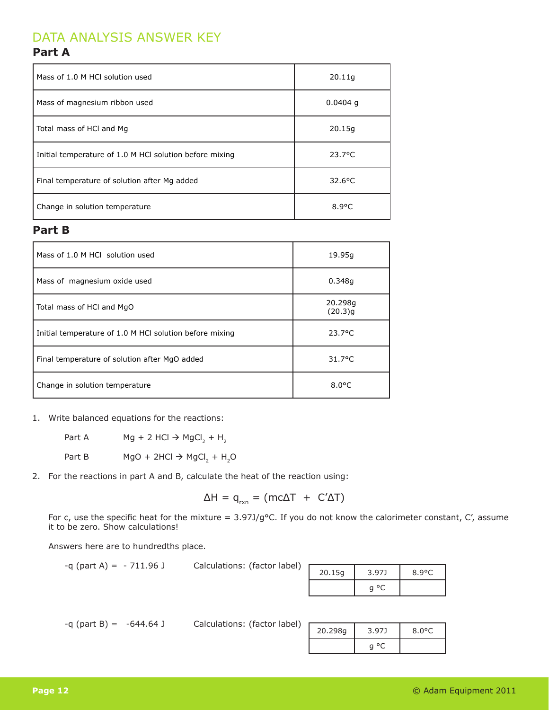## DATA ANALYSIS ANSWER KEY

#### **Part A**

| Mass of 1.0 M HCl solution used                         | 20.11q           |
|---------------------------------------------------------|------------------|
| Mass of magnesium ribbon used                           | $0.0404$ q       |
| Total mass of HCI and Mg                                | 20.15q           |
| Initial temperature of 1.0 M HCl solution before mixing | $23.7^{\circ}$ C |
| Final temperature of solution after Mg added            | $32.6$ °C        |
| Change in solution temperature                          | $8.9^{\circ}$ C  |

#### **Part B**

| Mass of 1.0 M HCL solution used                         | 19.95g             |
|---------------------------------------------------------|--------------------|
| Mass of magnesium oxide used                            | 0.348q             |
| Total mass of HCI and MgO                               | 20.298g<br>(20.3)q |
| Initial temperature of 1.0 M HCl solution before mixing | $23.7^{\circ}$ C   |
| Final temperature of solution after MgO added           | $31.7^{\circ}$ C   |
| Change in solution temperature                          | $8.0^{\circ}$ C    |

#### 1. Write balanced equations for the reactions:

Part A Mg + 2 HCl  $\rightarrow$  MgCl<sub>2</sub> + H<sub>2</sub> Part B MgO + 2HCl  $\rightarrow$  MgCl<sub>2</sub> + H<sub>2</sub>O

2. For the reactions in part A and B, calculate the heat of the reaction using:

$$
\Delta H = q_{rxn} = (mc\Delta T + C'\Delta T)
$$

For c, use the specific heat for the mixture =  $3.97J/g$ °C. If you do not know the calorimeter constant, C', assume it to be zero. Show calculations!

Answers here are to hundredths place.

 $-q$  (part A) =  $-711.96$  J Calculations: (factor label)

| 20.15g | 3.97J | $8.9^{\circ}$ C |
|--------|-------|-----------------|
|        | g     |                 |

 $-q$  (part B) =  $-644.64$  J

| Calculations: (factor label) |  |  |
|------------------------------|--|--|
|                              |  |  |

| 20.298g | 3.97J | $8.0^{\circ}$ C |
|---------|-------|-----------------|
|         |       |                 |